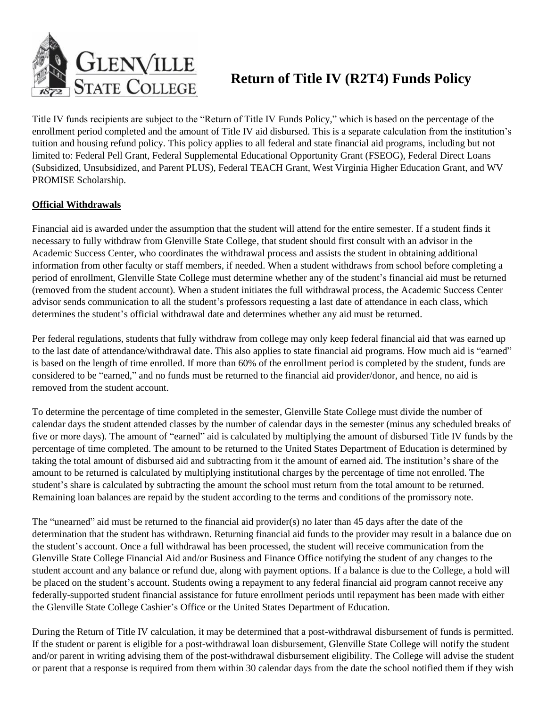

# **Return of Title IV (R2T4) Funds Policy**

Title IV funds recipients are subject to the "Return of Title IV Funds Policy," which is based on the percentage of the enrollment period completed and the amount of Title IV aid disbursed. This is a separate calculation from the institution's tuition and housing refund policy. This policy applies to all federal and state financial aid programs, including but not limited to: Federal Pell Grant, Federal Supplemental Educational Opportunity Grant (FSEOG), Federal Direct Loans (Subsidized, Unsubsidized, and Parent PLUS), Federal TEACH Grant, West Virginia Higher Education Grant, and WV PROMISE Scholarship.

## **Official Withdrawals**

Financial aid is awarded under the assumption that the student will attend for the entire semester. If a student finds it necessary to fully withdraw from Glenville State College, that student should first consult with an advisor in the Academic Success Center, who coordinates the withdrawal process and assists the student in obtaining additional information from other faculty or staff members, if needed. When a student withdraws from school before completing a period of enrollment, Glenville State College must determine whether any of the student's financial aid must be returned (removed from the student account). When a student initiates the full withdrawal process, the Academic Success Center advisor sends communication to all the student's professors requesting a last date of attendance in each class, which determines the student's official withdrawal date and determines whether any aid must be returned.

Per federal regulations, students that fully withdraw from college may only keep federal financial aid that was earned up to the last date of attendance/withdrawal date. This also applies to state financial aid programs. How much aid is "earned" is based on the length of time enrolled. If more than 60% of the enrollment period is completed by the student, funds are considered to be "earned," and no funds must be returned to the financial aid provider/donor, and hence, no aid is removed from the student account.

To determine the percentage of time completed in the semester, Glenville State College must divide the number of calendar days the student attended classes by the number of calendar days in the semester (minus any scheduled breaks of five or more days). The amount of "earned" aid is calculated by multiplying the amount of disbursed Title IV funds by the percentage of time completed. The amount to be returned to the United States Department of Education is determined by taking the total amount of disbursed aid and subtracting from it the amount of earned aid. The institution's share of the amount to be returned is calculated by multiplying institutional charges by the percentage of time not enrolled. The student's share is calculated by subtracting the amount the school must return from the total amount to be returned. Remaining loan balances are repaid by the student according to the terms and conditions of the promissory note.

The "unearned" aid must be returned to the financial aid provider(s) no later than 45 days after the date of the determination that the student has withdrawn. Returning financial aid funds to the provider may result in a balance due on the student's account. Once a full withdrawal has been processed, the student will receive communication from the Glenville State College Financial Aid and/or Business and Finance Office notifying the student of any changes to the student account and any balance or refund due, along with payment options. If a balance is due to the College, a hold will be placed on the student's account. Students owing a repayment to any federal financial aid program cannot receive any federally-supported student financial assistance for future enrollment periods until repayment has been made with either the Glenville State College Cashier's Office or the United States Department of Education.

During the Return of Title IV calculation, it may be determined that a post-withdrawal disbursement of funds is permitted. If the student or parent is eligible for a post-withdrawal loan disbursement, Glenville State College will notify the student and/or parent in writing advising them of the post-withdrawal disbursement eligibility. The College will advise the student or parent that a response is required from them within 30 calendar days from the date the school notified them if they wish